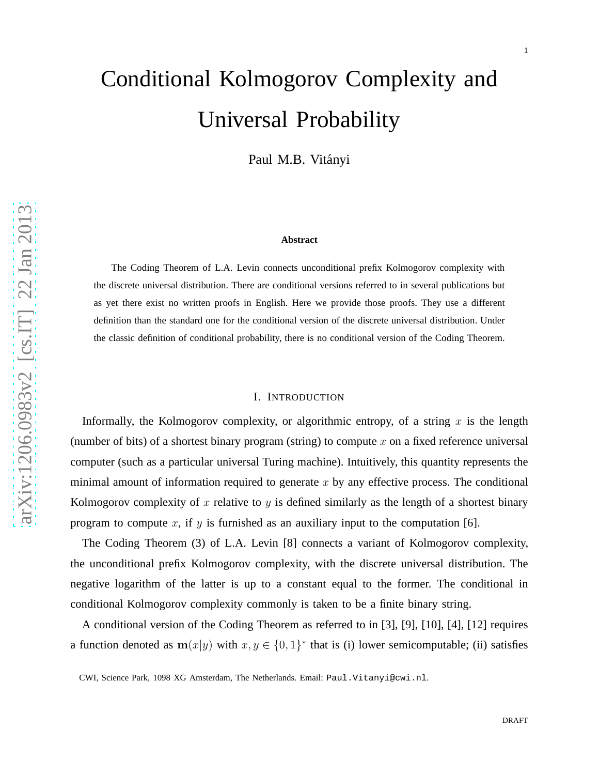# Conditional Kolmogorov Complexity and Universal Probability

Paul M.B. Vitányi

#### **Abstract**

The Coding Theorem of L.A. Levin connects unconditional prefix Kolmogorov complexity with the discrete universal distribution. There are conditional versions referred to in several publications but as yet there exist no written proofs in English. Here we provide those proofs. They use a different definition than the standard one for the conditional version of the discrete universal distribution. Under the classic definition of conditional probability, there is no conditional version of the Coding Theorem.

#### I. INTRODUCTION

Informally, the Kolmogorov complexity, or algorithmic entropy, of a string  $x$  is the length (number of bits) of a shortest binary program (string) to compute  $x$  on a fixed reference universal computer (such as a particular universal Turing machine). Intuitively, this quantity represents the minimal amount of information required to generate  $x$  by any effective process. The conditional Kolmogorov complexity of x relative to y is defined similarly as the length of a shortest binary program to compute x, if y is furnished as an auxiliary input to the computation [6].

The Coding Theorem (3) of L.A. Levin [8] connects a variant of Kolmogorov complexity, the unconditional prefix Kolmogorov complexity, with the discrete universal distribution. The negative logarithm of the latter is up to a constant equal to the former. The conditional in conditional Kolmogorov complexity commonly is taken to be a finite binary string.

A conditional version of the Coding Theorem as referred to in [3], [9], [10], [4], [12] requires a function denoted as  $m(x|y)$  with  $x, y \in \{0, 1\}^*$  that is (i) lower semicomputable; (ii) satisfies

CWI, Science Park, 1098 XG Amsterdam, The Netherlands. Email: Paul.Vitanyi@cwi.nl .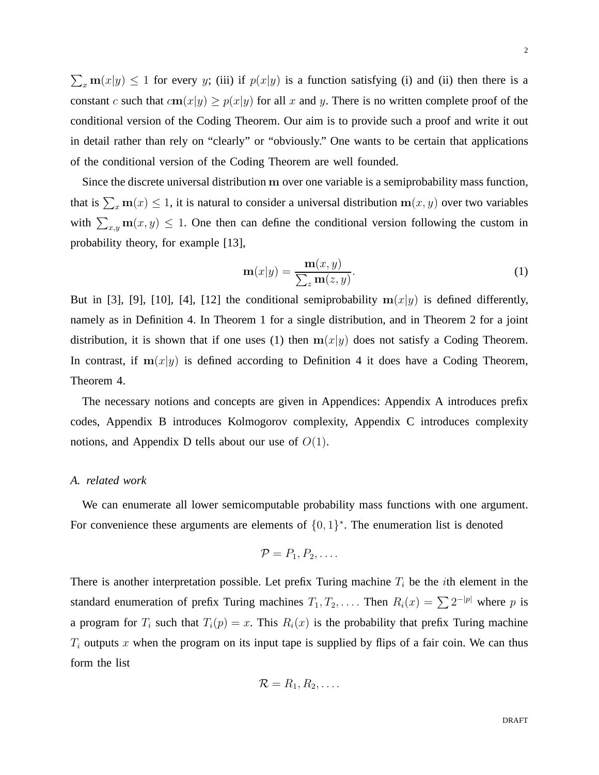$\sum_x$  m $(x|y) \le 1$  for every y; (iii) if  $p(x|y)$  is a function satisfying (i) and (ii) then there is a constant c such that  $cm(x|y) \ge p(x|y)$  for all x and y. There is no written complete proof of the conditional version of the Coding Theorem. Our aim is to provide such a proof and write it out in detail rather than rely on "clearly" or "obviously." One wants to be certain that applications of the conditional version of the Coding Theorem are well founded.

Since the discrete universal distribution m over one variable is a semiprobability mass function, that is  $\sum_{x} \mathbf{m}(x) \leq 1$ , it is natural to consider a universal distribution  $\mathbf{m}(x, y)$  over two variables with  $\sum_{x,y}$  m $(x, y) \le 1$ . One then can define the conditional version following the custom in probability theory, for example [13],

$$
\mathbf{m}(x|y) = \frac{\mathbf{m}(x,y)}{\sum_{z} \mathbf{m}(z,y)}.
$$
 (1)

But in [3], [9], [10], [4], [12] the conditional semiprobability  $m(x|y)$  is defined differently, namely as in Definition 4. In Theorem 1 for a single distribution, and in Theorem 2 for a joint distribution, it is shown that if one uses (1) then  $m(x|y)$  does not satisfy a Coding Theorem. In contrast, if  $m(x|y)$  is defined according to Definition 4 it does have a Coding Theorem, Theorem 4.

The necessary notions and concepts are given in Appendices: Appendix A introduces prefix codes, Appendix B introduces Kolmogorov complexity, Appendix C introduces complexity notions, and Appendix D tells about our use of  $O(1)$ .

#### *A. related work*

We can enumerate all lower semicomputable probability mass functions with one argument. For convenience these arguments are elements of  $\{0,1\}^*$ . The enumeration list is denoted

$$
\mathcal{P}=P_1,P_2,\ldots.
$$

There is another interpretation possible. Let prefix Turing machine  $T_i$  be the *i*th element in the standard enumeration of prefix Turing machines  $T_1, T_2, \ldots$  Then  $R_i(x) = \sum 2^{-|p|}$  where p is a program for  $T_i$  such that  $T_i(p) = x$ . This  $R_i(x)$  is the probability that prefix Turing machine  $T_i$  outputs x when the program on its input tape is supplied by flips of a fair coin. We can thus form the list

$$
\mathcal{R}=R_1,R_2,\ldots.
$$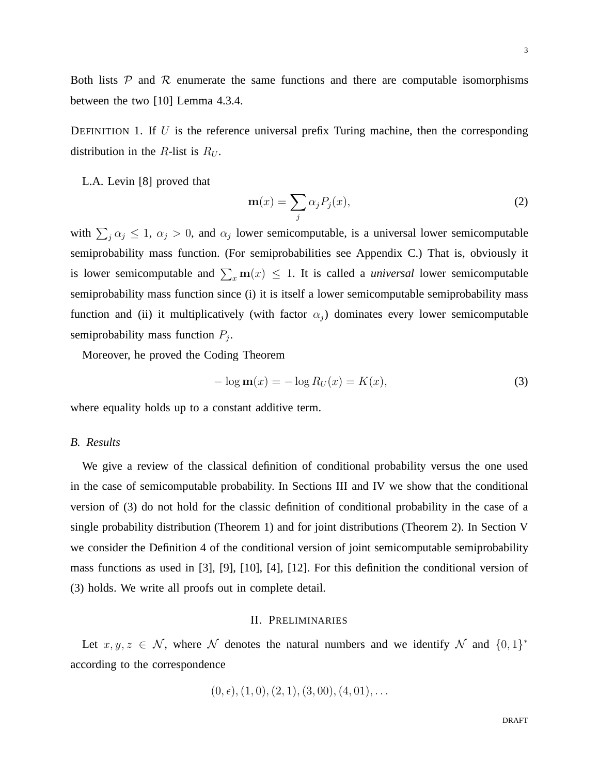Both lists  $P$  and  $R$  enumerate the same functions and there are computable isomorphisms between the two [10] Lemma 4.3.4.

DEFINITION 1. If U is the reference universal prefix Turing machine, then the corresponding distribution in the R-list is  $R_U$ .

L.A. Levin [8] proved that

$$
\mathbf{m}(x) = \sum_{j} \alpha_j P_j(x),\tag{2}
$$

with  $\sum_j \alpha_j \leq 1$ ,  $\alpha_j > 0$ , and  $\alpha_j$  lower semicomputable, is a universal lower semicomputable semiprobability mass function. (For semiprobabilities see Appendix C.) That is, obviously it is lower semicomputable and  $\sum_{x} m(x) \leq 1$ . It is called a *universal* lower semicomputable semiprobability mass function since (i) it is itself a lower semicomputable semiprobability mass function and (ii) it multiplicatively (with factor  $\alpha_i$ ) dominates every lower semicomputable semiprobability mass function  $P_j$ .

Moreover, he proved the Coding Theorem

$$
-\log \mathbf{m}(x) = -\log R_U(x) = K(x),\tag{3}
$$

where equality holds up to a constant additive term.

#### *B. Results*

We give a review of the classical definition of conditional probability versus the one used in the case of semicomputable probability. In Sections III and IV we show that the conditional version of (3) do not hold for the classic definition of conditional probability in the case of a single probability distribution (Theorem 1) and for joint distributions (Theorem 2). In Section V we consider the Definition 4 of the conditional version of joint semicomputable semiprobability mass functions as used in [3], [9], [10], [4], [12]. For this definition the conditional version of (3) holds. We write all proofs out in complete detail.

#### II. PRELIMINARIES

Let  $x, y, z \in \mathcal{N}$ , where  $\mathcal N$  denotes the natural numbers and we identify  $\mathcal N$  and  $\{0,1\}^*$ according to the correspondence

$$
(0, \epsilon), (1, 0), (2, 1), (3, 00), (4, 01), \ldots
$$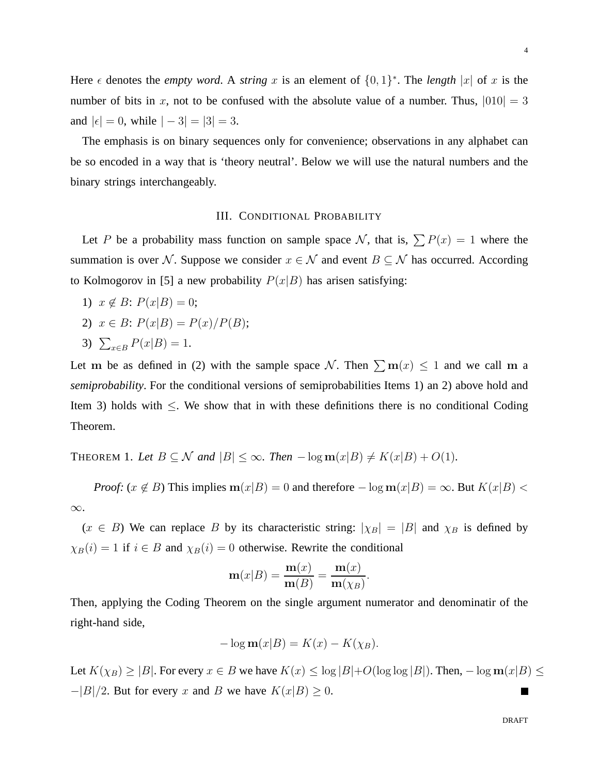Here  $\epsilon$  denotes the *empty word*. A *string* x is an element of  $\{0, 1\}^*$ . The *length* |x| of x is the number of bits in x, not to be confused with the absolute value of a number. Thus,  $|010| = 3$ and  $|\epsilon| = 0$ , while  $|-3| = |3| = 3$ .

The emphasis is on binary sequences only for convenience; observations in any alphabet can be so encoded in a way that is 'theory neutral'. Below we will use the natural numbers and the binary strings interchangeably.

#### III. CONDITIONAL PROBABILITY

Let P be a probability mass function on sample space N, that is,  $\sum P(x) = 1$  where the summation is over N. Suppose we consider  $x \in \mathcal{N}$  and event  $B \subseteq \mathcal{N}$  has occurred. According to Kolmogorov in [5] a new probability  $P(x|B)$  has arisen satisfying:

- 1)  $x \notin B$ :  $P(x|B) = 0$ ;
- 2)  $x \in B$ :  $P(x|B) = P(x)/P(B)$ ;
- 3)  $\sum_{x \in B} P(x|B) = 1.$

Let m be as defined in (2) with the sample space N. Then  $\sum m(x) \le 1$  and we call m a *semiprobability*. For the conditional versions of semiprobabilities Items 1) an 2) above hold and Item 3) holds with  $\leq$ . We show that in with these definitions there is no conditional Coding Theorem.

THEOREM 1. Let  $B \subseteq \mathcal{N}$  and  $|B| \leq \infty$ . Then  $-\log m(x|B) \neq K(x|B) + O(1)$ .

*Proof:* ( $x \notin B$ ) This implies  $m(x|B) = 0$  and therefore  $-\log m(x|B) = \infty$ . But  $K(x|B) <$ ∞.

 $(x \in B)$  We can replace B by its characteristic string:  $|\chi_B| = |B|$  and  $\chi_B$  is defined by  $\chi_B(i) = 1$  if  $i \in B$  and  $\chi_B(i) = 0$  otherwise. Rewrite the conditional

$$
\mathbf{m}(x|B) = \frac{\mathbf{m}(x)}{\mathbf{m}(B)} = \frac{\mathbf{m}(x)}{\mathbf{m}(\chi_B)}.
$$

Then, applying the Coding Theorem on the single argument numerator and denominatir of the right-hand side,

$$
-\log \mathbf{m}(x|B) = K(x) - K(\chi_B).
$$

Let  $K(\chi_B) \ge |B|$ . For every  $x \in B$  we have  $K(x) \le \log |B| + O(\log \log |B|)$ . Then,  $-\log m(x|B) \le$  $-|B|/2$ . But for every x and B we have  $K(x|B) \geq 0$ . H.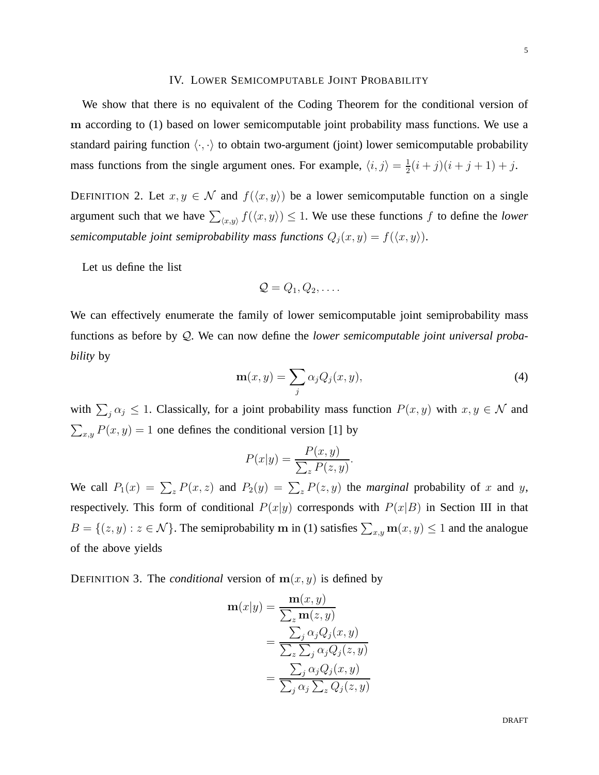### IV. LOWER SEMICOMPUTABLE JOINT PROBABILITY

We show that there is no equivalent of the Coding Theorem for the conditional version of m according to (1) based on lower semicomputable joint probability mass functions. We use a standard pairing function  $\langle \cdot, \cdot \rangle$  to obtain two-argument (joint) lower semicomputable probability mass functions from the single argument ones. For example,  $\langle i, j \rangle = \frac{1}{2}$  $\frac{1}{2}(i+j)(i+j+1)+j.$ 

DEFINITION 2. Let  $x, y \in \mathcal{N}$  and  $f(\langle x, y \rangle)$  be a lower semicomputable function on a single argument such that we have  $\sum_{\langle x,y \rangle} f(\langle x,y \rangle) \leq 1$ . We use these functions f to define the *lower semicomputable joint semiprobability mass functions*  $Q_j(x, y) = f(\langle x, y \rangle)$ .

Let us define the list

$$
\mathcal{Q}=Q_1,Q_2,\ldots.
$$

We can effectively enumerate the family of lower semicomputable joint semiprobability mass functions as before by Q. We can now define the *lower semicomputable joint universal probability* by

$$
\mathbf{m}(x,y) = \sum_{j} \alpha_j Q_j(x,y),\tag{4}
$$

with  $\sum_j \alpha_j \leq 1$ . Classically, for a joint probability mass function  $P(x, y)$  with  $x, y \in \mathcal{N}$  and  $\sum_{x,y} P(x,y) = 1$  one defines the conditional version [1] by

$$
P(x|y) = \frac{P(x,y)}{\sum_{z} P(z,y)}.
$$

We call  $P_1(x) = \sum_z P(x, z)$  and  $P_2(y) = \sum_z P(z, y)$  the *marginal* probability of x and y, respectively. This form of conditional  $P(x|y)$  corresponds with  $P(x|B)$  in Section III in that  $B = \{(z, y) : z \in \mathcal{N}\}\.$  The semiprobability m in (1) satisfies  $\sum_{x,y} m(x, y) \leq 1$  and the analogue of the above yields

DEFINITION 3. The *conditional* version of  $m(x, y)$  is defined by

$$
\mathbf{m}(x|y) = \frac{\mathbf{m}(x, y)}{\sum_{z} \mathbf{m}(z, y)} \n= \frac{\sum_{j} \alpha_{j} Q_{j}(x, y)}{\sum_{z} \sum_{j} \alpha_{j} Q_{j}(z, y)} \n= \frac{\sum_{j} \alpha_{j} Q_{j}(x, y)}{\sum_{j} \alpha_{j} \sum_{z} Q_{j}(z, y)}
$$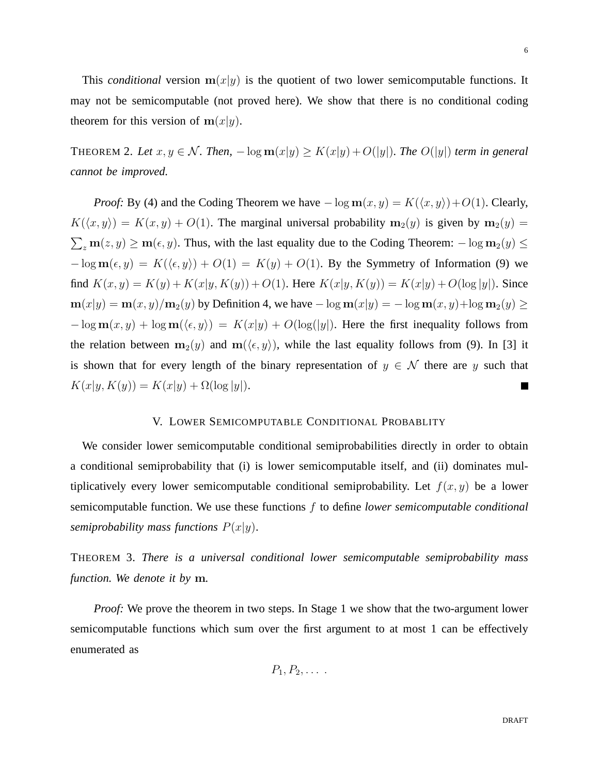This *conditional* version  $m(x|y)$  is the quotient of two lower semicomputable functions. It may not be semicomputable (not proved here). We show that there is no conditional coding theorem for this version of  $m(x|y)$ .

THEOREM 2. Let  $x, y \in \mathcal{N}$ . Then,  $-\log \mathbf{m}(x|y) \ge K(x|y) + O(|y|)$ . The  $O(|y|)$  term in general *cannot be improved.*

*Proof:* By (4) and the Coding Theorem we have  $-\log m(x, y) = K(\langle x, y \rangle) + O(1)$ . Clearly,  $K(\langle x, y \rangle) = K(x, y) + O(1)$ . The marginal universal probability  $m_2(y)$  is given by  $m_2(y) =$  $\sum_z \mathbf{m}(z, y) \ge \mathbf{m}(\epsilon, y)$ . Thus, with the last equality due to the Coding Theorem:  $-\log \mathbf{m}_2(y) \le$  $-\log m(\epsilon, y) = K(\langle \epsilon, y \rangle) + O(1) = K(y) + O(1)$ . By the Symmetry of Information (9) we find  $K(x, y) = K(y) + K(x|y, K(y)) + O(1)$ . Here  $K(x|y, K(y)) = K(x|y) + O(\log|y|)$ . Since  $m(x|y) = m(x, y)/m_2(y)$  by Definition 4, we have  $-\log m(x|y) = -\log m(x, y)+\log m_2(y) \ge$  $-\log m(x, y) + \log m(\langle \epsilon, y \rangle) = K(x|y) + O(\log(|y|))$ . Here the first inequality follows from the relation between  $m_2(y)$  and  $m(\langle \epsilon, y \rangle)$ , while the last equality follows from (9). In [3] it is shown that for every length of the binary representation of  $y \in \mathcal{N}$  there are y such that  $K(x|y, K(y)) = K(x|y) + \Omega(\log|y|).$  $\blacksquare$ 

# V. LOWER SEMICOMPUTABLE CONDITIONAL PROBABLITY

We consider lower semicomputable conditional semiprobabilities directly in order to obtain a conditional semiprobability that (i) is lower semicomputable itself, and (ii) dominates multiplicatively every lower semicomputable conditional semiprobability. Let  $f(x, y)$  be a lower semicomputable function. We use these functions f to define *lower semicomputable conditional semiprobability mass functions*  $P(x|y)$ .

THEOREM 3. *There is a universal conditional lower semicomputable semiprobability mass function. We denote it by* m*.*

*Proof:* We prove the theorem in two steps. In Stage 1 we show that the two-argument lower semicomputable functions which sum over the first argument to at most 1 can be effectively enumerated as

$$
P_1, P_2, \ldots
$$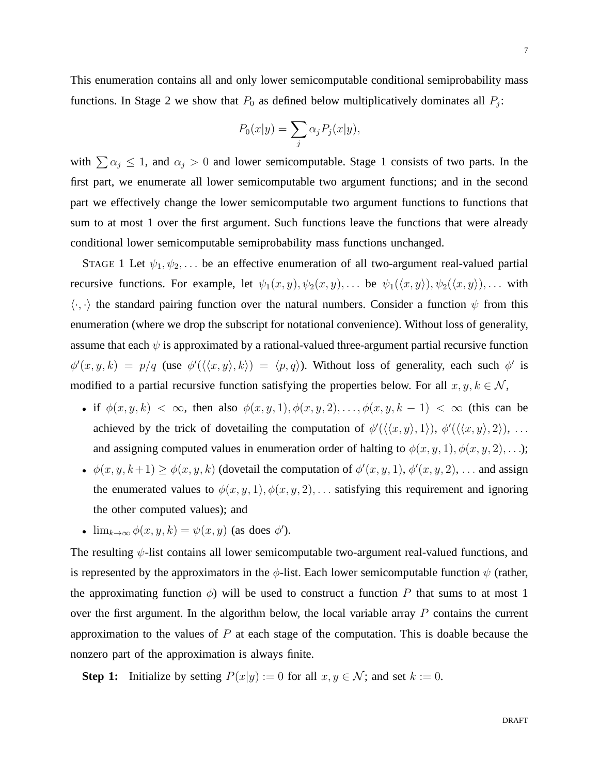This enumeration contains all and only lower semicomputable conditional semiprobability mass functions. In Stage 2 we show that  $P_0$  as defined below multiplicatively dominates all  $P_j$ :

$$
P_0(x|y) = \sum_j \alpha_j P_j(x|y),
$$

with  $\sum \alpha_j \leq 1$ , and  $\alpha_j > 0$  and lower semicomputable. Stage 1 consists of two parts. In the first part, we enumerate all lower semicomputable two argument functions; and in the second part we effectively change the lower semicomputable two argument functions to functions that sum to at most 1 over the first argument. Such functions leave the functions that were already conditional lower semicomputable semiprobability mass functions unchanged.

STAGE 1 Let  $\psi_1, \psi_2, \dots$  be an effective enumeration of all two-argument real-valued partial recursive functions. For example, let  $\psi_1(x, y), \psi_2(x, y), \dots$  be  $\psi_1(\langle x, y \rangle), \psi_2(\langle x, y \rangle), \dots$  with  $\langle \cdot, \cdot \rangle$  the standard pairing function over the natural numbers. Consider a function  $\psi$  from this enumeration (where we drop the subscript for notational convenience). Without loss of generality, assume that each  $\psi$  is approximated by a rational-valued three-argument partial recursive function  $\phi'(x, y, k) = p/q$  (use  $\phi'(\langle \langle x, y \rangle, k \rangle) = \langle p, q \rangle$ ). Without loss of generality, each such  $\phi'$  is modified to a partial recursive function satisfying the properties below. For all  $x, y, k \in \mathcal{N}$ ,

- if  $\phi(x, y, k) < \infty$ , then also  $\phi(x, y, 1), \phi(x, y, 2), \ldots, \phi(x, y, k-1) < \infty$  (this can be achieved by the trick of dovetailing the computation of  $\phi'(\langle\langle x,y\rangle,1\rangle), \phi'(\langle\langle x,y\rangle,2\rangle), \ldots$ and assigning computed values in enumeration order of halting to  $\phi(x, y, 1), \phi(x, y, 2), \ldots$ ;
- $\phi(x, y, k+1) \ge \phi(x, y, k)$  (dovetail the computation of  $\phi'(x, y, 1), \phi'(x, y, 2), \dots$  and assign the enumerated values to  $\phi(x, y, 1), \phi(x, y, 2), \ldots$  satisfying this requirement and ignoring the other computed values); and
- $\lim_{k\to\infty}\phi(x,y,k)=\psi(x,y)$  (as does  $\phi'$ ).

The resulting  $\psi$ -list contains all lower semicomputable two-argument real-valued functions, and is represented by the approximators in the  $\phi$ -list. Each lower semicomputable function  $\psi$  (rather, the approximating function  $\phi$ ) will be used to construct a function P that sums to at most 1 over the first argument. In the algorithm below, the local variable array  $P$  contains the current approximation to the values of  $P$  at each stage of the computation. This is doable because the nonzero part of the approximation is always finite.

**Step 1:** Initialize by setting  $P(x|y) := 0$  for all  $x, y \in \mathcal{N}$ ; and set  $k := 0$ .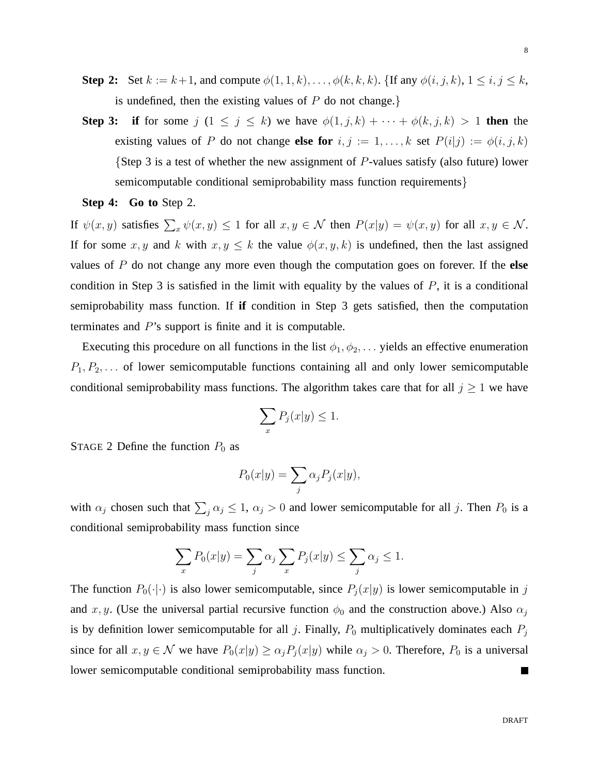- **Step 2:** Set  $k := k+1$ , and compute  $\phi(1, 1, k), \ldots, \phi(k, k, k)$ . {If any  $\phi(i, j, k)$ ,  $1 \le i, j \le k$ , is undefined, then the existing values of  $P$  do not change.
- **Step 3: if** for some  $j$   $(1 \leq j \leq k)$  we have  $\phi(1, j, k) + \cdots + \phi(k, j, k) > 1$  then the existing values of P do not change **else for**  $i, j := 1, ..., k$  set  $P(i|j) := \phi(i, j, k)$ {Step 3 is a test of whether the new assignment of  $P$ -values satisfy (also future) lower semicomputable conditional semiprobability mass function requirements}

**Step 4: Go to** Step 2.

If  $\psi(x, y)$  satisfies  $\sum_x \psi(x, y) \le 1$  for all  $x, y \in \mathcal{N}$  then  $P(x|y) = \psi(x, y)$  for all  $x, y \in \mathcal{N}$ . If for some x, y and k with  $x, y \leq k$  the value  $\phi(x, y, k)$  is undefined, then the last assigned values of P do not change any more even though the computation goes on forever. If the **else** condition in Step 3 is satisfied in the limit with equality by the values of  $P$ , it is a conditional semiprobability mass function. If **if** condition in Step 3 gets satisfied, then the computation terminates and P's support is finite and it is computable.

Executing this procedure on all functions in the list  $\phi_1, \phi_2, \ldots$  yields an effective enumeration  $P_1, P_2, \ldots$  of lower semicomputable functions containing all and only lower semicomputable conditional semiprobability mass functions. The algorithm takes care that for all  $j \geq 1$  we have

$$
\sum_{x} P_j(x|y) \le 1.
$$

STAGE 2 Define the function  $P_0$  as

$$
P_0(x|y) = \sum_j \alpha_j P_j(x|y),
$$

with  $\alpha_j$  chosen such that  $\sum_j \alpha_j \leq 1$ ,  $\alpha_j > 0$  and lower semicomputable for all j. Then  $P_0$  is a conditional semiprobability mass function since

$$
\sum_{x} P_0(x|y) = \sum_{j} \alpha_j \sum_{x} P_j(x|y) \le \sum_{j} \alpha_j \le 1.
$$

The function  $P_0(\cdot|\cdot)$  is also lower semicomputable, since  $P_j(x|y)$  is lower semicomputable in j and x, y. (Use the universal partial recursive function  $\phi_0$  and the construction above.) Also  $\alpha_j$ is by definition lower semicomputable for all j. Finally,  $P_0$  multiplicatively dominates each  $P_j$ since for all  $x, y \in \mathcal{N}$  we have  $P_0(x|y) \ge \alpha_j P_j(x|y)$  while  $\alpha_j > 0$ . Therefore,  $P_0$  is a universal lower semicomputable conditional semiprobability mass function. П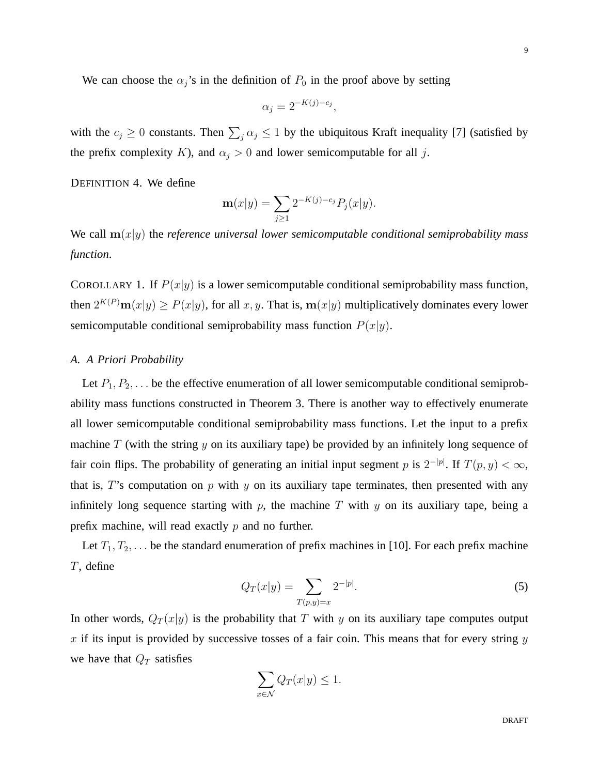We can choose the  $\alpha_j$ 's in the definition of  $P_0$  in the proof above by setting

$$
\alpha_j = 2^{-K(j)-c_j},
$$

with the  $c_j \ge 0$  constants. Then  $\sum_j \alpha_j \le 1$  by the ubiquitous Kraft inequality [7] (satisfied by the prefix complexity K), and  $\alpha_j > 0$  and lower semicomputable for all j.

DEFINITION 4. We define

$$
\mathbf{m}(x|y) = \sum_{j\geq 1} 2^{-K(j)-c_j} P_j(x|y).
$$

We call  $m(x|y)$  the *reference universal lower semicomputable conditional semiprobability mass function*.

COROLLARY 1. If  $P(x|y)$  is a lower semicomputable conditional semiprobability mass function, then  $2^{K(P)}m(x|y) \ge P(x|y)$ , for all x, y. That is,  $m(x|y)$  multiplicatively dominates every lower semicomputable conditional semiprobability mass function  $P(x|y)$ .

# *A. A Priori Probability*

Let  $P_1, P_2, \ldots$  be the effective enumeration of all lower semicomputable conditional semiprobability mass functions constructed in Theorem 3. There is another way to effectively enumerate all lower semicomputable conditional semiprobability mass functions. Let the input to a prefix machine  $T$  (with the string  $y$  on its auxiliary tape) be provided by an infinitely long sequence of fair coin flips. The probability of generating an initial input segment p is  $2^{-|p|}$ . If  $T(p, y) < \infty$ , that is, T's computation on  $p$  with  $y$  on its auxiliary tape terminates, then presented with any infinitely long sequence starting with  $p$ , the machine  $T$  with  $y$  on its auxiliary tape, being a prefix machine, will read exactly  $p$  and no further.

Let  $T_1, T_2, \ldots$  be the standard enumeration of prefix machines in [10]. For each prefix machine T, define

$$
Q_T(x|y) = \sum_{T(p,y)=x} 2^{-|p|}.
$$
 (5)

In other words,  $Q_T(x|y)$  is the probability that T with y on its auxiliary tape computes output x if its input is provided by successive tosses of a fair coin. This means that for every string  $y$ we have that  $Q_T$  satisfies

$$
\sum_{x \in \mathcal{N}} Q_T(x|y) \le 1.
$$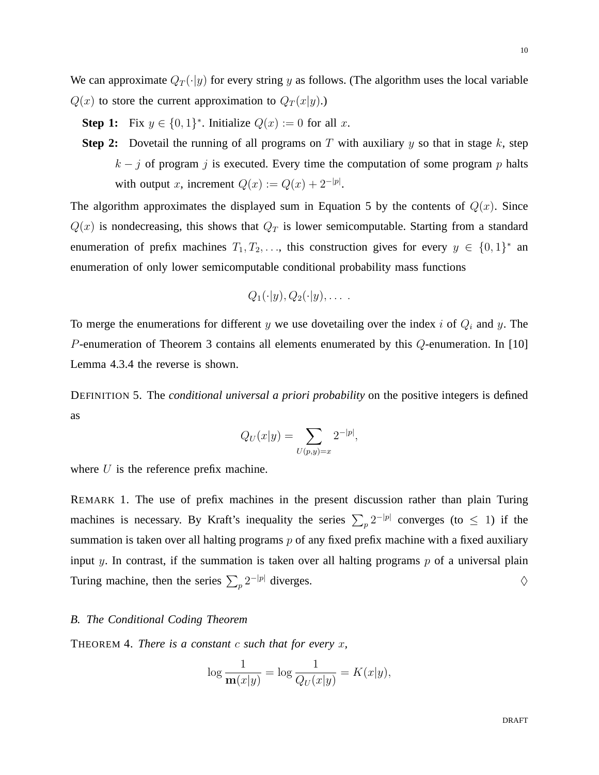We can approximate  $Q_T(\cdot|y)$  for every string y as follows. (The algorithm uses the local variable  $Q(x)$  to store the current approximation to  $Q_T(x|y)$ .)

- **Step 1:** Fix  $y \in \{0, 1\}^*$ . Initialize  $Q(x) := 0$  for all x.
- **Step 2:** Dovetail the running of all programs on  $T$  with auxiliary  $y$  so that in stage  $k$ , step  $k - j$  of program j is executed. Every time the computation of some program p halts with output x, increment  $Q(x) := Q(x) + 2^{-|p|}$ .

The algorithm approximates the displayed sum in Equation 5 by the contents of  $Q(x)$ . Since  $Q(x)$  is nondecreasing, this shows that  $Q<sub>T</sub>$  is lower semicomputable. Starting from a standard enumeration of prefix machines  $T_1, T_2, \ldots$ , this construction gives for every  $y \in \{0, 1\}^*$  and enumeration of only lower semicomputable conditional probability mass functions

$$
Q_1(\cdot|y), Q_2(\cdot|y), \ldots
$$

To merge the enumerations for different  $y$  we use dovetailing over the index  $i$  of  $Q_i$  and  $y$ . The P-enumeration of Theorem 3 contains all elements enumerated by this Q-enumeration. In [10] Lemma 4.3.4 the reverse is shown.

DEFINITION 5. The *conditional universal a priori probability* on the positive integers is defined as

$$
Q_U(x|y) = \sum_{U(p,y)=x} 2^{-|p|},
$$

where  $U$  is the reference prefix machine.

REMARK 1. The use of prefix machines in the present discussion rather than plain Turing machines is necessary. By Kraft's inequality the series  $\sum_{p} 2^{-|p|}$  converges (to  $\leq 1$ ) if the summation is taken over all halting programs  $p$  of any fixed prefix machine with a fixed auxiliary input y. In contrast, if the summation is taken over all halting programs  $p$  of a universal plain Turing machine, then the series  $\sum_{p} 2^{-|p|}$  diverges.  $\diamondsuit$ 

#### *B. The Conditional Coding Theorem*

THEOREM 4. *There is a constant* c *such that for every* x*,*

$$
\log \frac{1}{\mathbf{m}(x|y)} = \log \frac{1}{Q_U(x|y)} = K(x|y),
$$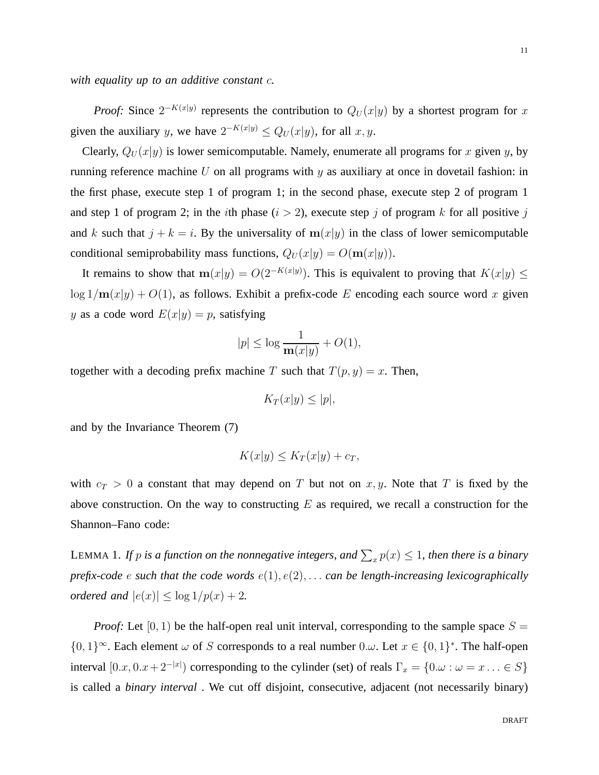*with equality up to an additive constant* c*.*

*Proof:* Since  $2^{-K(x|y)}$  represents the contribution to  $Q_U(x|y)$  by a shortest program for x given the auxiliary y, we have  $2^{-K(x|y)} \leq Q_U(x|y)$ , for all  $x, y$ .

Clearly,  $Q_U(x|y)$  is lower semicomputable. Namely, enumerate all programs for x given y, by running reference machine  $U$  on all programs with  $y$  as auxiliary at once in dovetail fashion: in the first phase, execute step 1 of program 1; in the second phase, execute step 2 of program 1 and step 1 of program 2; in the *i*th phase  $(i > 2)$ , execute step j of program k for all positive j and k such that  $j + k = i$ . By the universality of  $m(x|y)$  in the class of lower semicomputable conditional semiprobability mass functions,  $Q_U(x|y) = O(\mathbf{m}(x|y)).$ 

It remains to show that  $m(x|y) = O(2^{-K(x|y)})$ . This is equivalent to proving that  $K(x|y) \leq$  $\log 1/\mathbf{m}(x|y) + O(1)$ , as follows. Exhibit a prefix-code E encoding each source word x given y as a code word  $E(x|y) = p$ , satisfying

$$
|p| \le \log \frac{1}{\mathbf{m}(x|y)} + O(1),
$$

together with a decoding prefix machine T such that  $T(p, y) = x$ . Then,

$$
K_T(x|y) \le |p|,
$$

and by the Invariance Theorem (7)

$$
K(x|y) \le K_T(x|y) + c_T,
$$

with  $c_T > 0$  a constant that may depend on T but not on x, y. Note that T is fixed by the above construction. On the way to constructing  $E$  as required, we recall a construction for the Shannon–Fano code:

LEMMA 1. If  $p$  is a function on the nonnegative integers, and  $\sum_x p(x) \leq 1$ , then there is a binary *prefix-code* e *such that the code words* e(1), e(2), . . . *can be length-increasing lexicographically ordered and*  $|e(x)| \leq \log 1/p(x) + 2$ .

*Proof:* Let  $[0, 1)$  be the half-open real unit interval, corresponding to the sample space  $S =$  $\{0,1\}^{\infty}$ . Each element  $\omega$  of S corresponds to a real number 0. $\omega$ . Let  $x \in \{0,1\}^*$ . The half-open interval  $[0.x, 0.x + 2^{-|x|})$  corresponding to the cylinder (set) of reals  $\Gamma_x = \{0.\omega : \omega = x \dots \in S\}$ is called a *binary interval* . We cut off disjoint, consecutive, adjacent (not necessarily binary)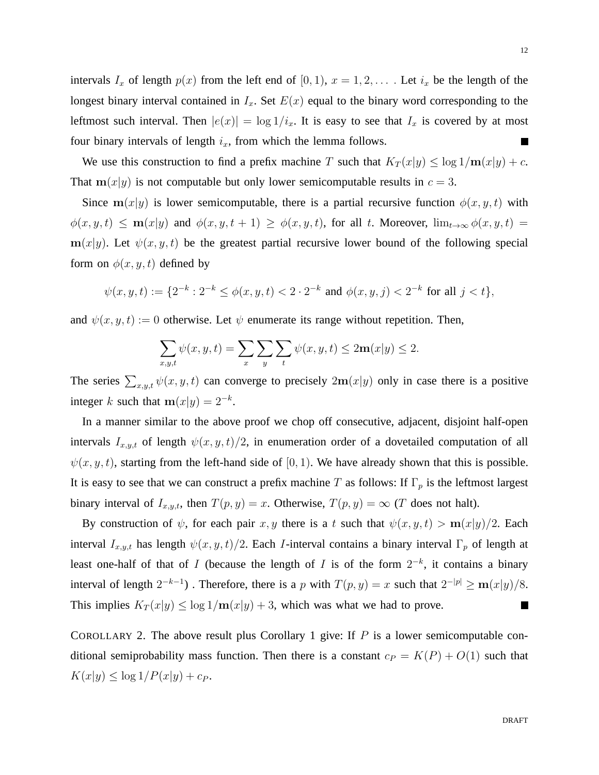intervals  $I_x$  of length  $p(x)$  from the left end of  $[0, 1)$ ,  $x = 1, 2, \ldots$ . Let  $i_x$  be the length of the longest binary interval contained in  $I_x$ . Set  $E(x)$  equal to the binary word corresponding to the leftmost such interval. Then  $|e(x)| = \log 1/i_x$ . It is easy to see that  $I_x$  is covered by at most four binary intervals of length  $i_x$ , from which the lemma follows.

We use this construction to find a prefix machine T such that  $K_T(x|y) \leq \log 1/\mathbf{m}(x|y) + c$ . That  $m(x|y)$  is not computable but only lower semicomputable results in  $c = 3$ .

Since  $m(x|y)$  is lower semicomputable, there is a partial recursive function  $\phi(x, y, t)$  with  $\phi(x, y, t) \leq \mathbf{m}(x|y)$  and  $\phi(x, y, t + 1) \geq \phi(x, y, t)$ , for all t. Moreover,  $\lim_{t\to\infty} \phi(x, y, t) =$  $m(x|y)$ . Let  $\psi(x, y, t)$  be the greatest partial recursive lower bound of the following special form on  $\phi(x, y, t)$  defined by

$$
\psi(x, y, t) := \{2^{-k} : 2^{-k} \le \phi(x, y, t) < 2 \cdot 2^{-k} \text{ and } \phi(x, y, j) < 2^{-k} \text{ for all } j < t\},
$$

and  $\psi(x, y, t) := 0$  otherwise. Let  $\psi$  enumerate its range without repetition. Then,

$$
\sum_{x,y,t} \psi(x,y,t) = \sum_{x} \sum_{y} \sum_{t} \psi(x,y,t) \le 2\mathbf{m}(x|y) \le 2.
$$

The series  $\sum_{x,y,t} \psi(x, y, t)$  can converge to precisely  $2m(x|y)$  only in case there is a positive integer k such that  $m(x|y) = 2^{-k}$ .

In a manner similar to the above proof we chop off consecutive, adjacent, disjoint half-open intervals  $I_{x,y,t}$  of length  $\psi(x, y, t)/2$ , in enumeration order of a dovetailed computation of all  $\psi(x, y, t)$ , starting from the left-hand side of [0, 1). We have already shown that this is possible. It is easy to see that we can construct a prefix machine T as follows: If  $\Gamma_p$  is the leftmost largest binary interval of  $I_{x,y,t}$ , then  $T(p, y) = x$ . Otherwise,  $T(p, y) = \infty$  (T does not halt).

By construction of  $\psi$ , for each pair x, y there is a t such that  $\psi(x, y, t) > m(x|y)/2$ . Each interval  $I_{x,y,t}$  has length  $\psi(x, y, t)/2$ . Each *I*-interval contains a binary interval  $\Gamma_p$  of length at least one-half of that of I (because the length of I is of the form  $2^{-k}$ , it contains a binary interval of length  $2^{-k-1}$ ). Therefore, there is a p with  $T(p, y) = x$  such that  $2^{-|p|} \ge \mathbf{m}(x|y)/8$ . This implies  $K_T(x|y) \leq \log 1/\mathbf{m}(x|y) + 3$ , which was what we had to prove.  $\blacksquare$ 

COROLLARY 2. The above result plus Corollary 1 give: If  $P$  is a lower semicomputable conditional semiprobability mass function. Then there is a constant  $c_P = K(P) + O(1)$  such that  $K(x|y) \leq \log 1/P(x|y) + c_P.$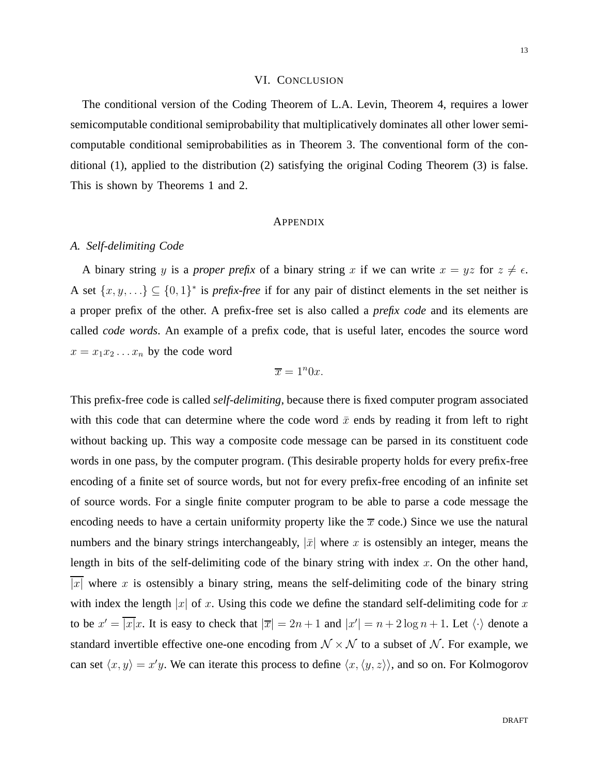## VI. CONCLUSION

The conditional version of the Coding Theorem of L.A. Levin, Theorem 4, requires a lower semicomputable conditional semiprobability that multiplicatively dominates all other lower semicomputable conditional semiprobabilities as in Theorem 3. The conventional form of the conditional (1), applied to the distribution (2) satisfying the original Coding Theorem (3) is false. This is shown by Theorems 1 and 2.

#### APPENDIX

#### *A. Self-delimiting Code*

A binary string y is a *proper prefix* of a binary string x if we can write  $x = yz$  for  $z \neq \epsilon$ . A set  $\{x, y, ...\} \subseteq \{0, 1\}^*$  is *prefix-free* if for any pair of distinct elements in the set neither is a proper prefix of the other. A prefix-free set is also called a *prefix code* and its elements are called *code words*. An example of a prefix code, that is useful later, encodes the source word  $x = x_1x_2...x_n$  by the code word

$$
\overline{x} = 1^n 0x.
$$

This prefix-free code is called *self-delimiting*, because there is fixed computer program associated with this code that can determine where the code word  $\bar{x}$  ends by reading it from left to right without backing up. This way a composite code message can be parsed in its constituent code words in one pass, by the computer program. (This desirable property holds for every prefix-free encoding of a finite set of source words, but not for every prefix-free encoding of an infinite set of source words. For a single finite computer program to be able to parse a code message the encoding needs to have a certain uniformity property like the  $\bar{x}$  code.) Since we use the natural numbers and the binary strings interchangeably,  $|\bar{x}|$  where x is ostensibly an integer, means the length in bits of the self-delimiting code of the binary string with index  $x$ . On the other hand, |x| where x is ostensibly a binary string, means the self-delimiting code of the binary string with index the length |x| of x. Using this code we define the standard self-delimiting code for x to be  $x' = \overline{|x|}x$ . It is easy to check that  $|\overline{x}| = 2n + 1$  and  $|x'| = n + 2\log n + 1$ . Let  $\langle \cdot \rangle$  denote a standard invertible effective one-one encoding from  $N \times N$  to a subset of N. For example, we can set  $\langle x, y \rangle = x'y$ . We can iterate this process to define  $\langle x, \langle y, z \rangle \rangle$ , and so on. For Kolmogorov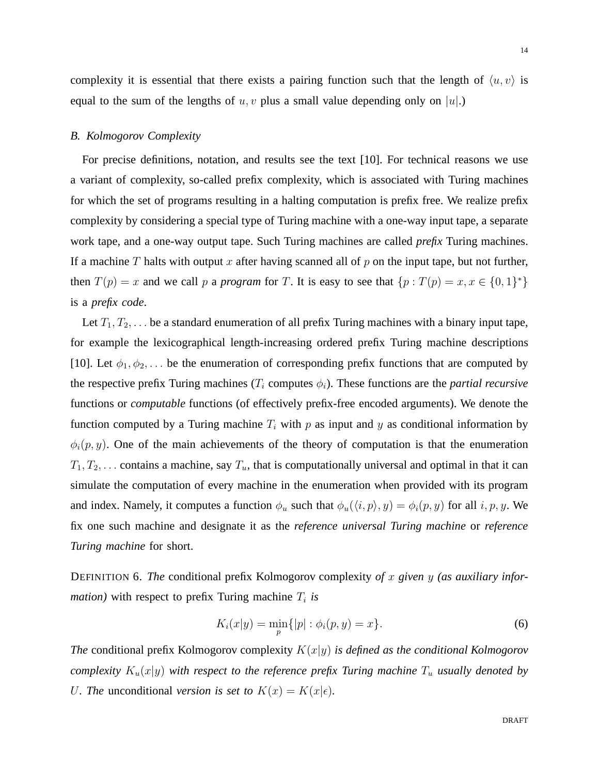14

complexity it is essential that there exists a pairing function such that the length of  $\langle u, v \rangle$  is equal to the sum of the lengths of  $u, v$  plus a small value depending only on  $|u|$ .

## *B. Kolmogorov Complexity*

For precise definitions, notation, and results see the text [10]. For technical reasons we use a variant of complexity, so-called prefix complexity, which is associated with Turing machines for which the set of programs resulting in a halting computation is prefix free. We realize prefix complexity by considering a special type of Turing machine with a one-way input tape, a separate work tape, and a one-way output tape. Such Turing machines are called *prefix* Turing machines. If a machine T halts with output x after having scanned all of p on the input tape, but not further, then  $T(p) = x$  and we call p a *program* for T. It is easy to see that  $\{p : T(p) = x, x \in \{0,1\}^*\}$ is a *prefix code*.

Let  $T_1, T_2, \ldots$  be a standard enumeration of all prefix Turing machines with a binary input tape, for example the lexicographical length-increasing ordered prefix Turing machine descriptions [10]. Let  $\phi_1, \phi_2, \ldots$  be the enumeration of corresponding prefix functions that are computed by the respective prefix Turing machines  $(T_i$  computes  $\phi_i$ ). These functions are the *partial recursive* functions or *computable* functions (of effectively prefix-free encoded arguments). We denote the function computed by a Turing machine  $T_i$  with p as input and y as conditional information by  $\phi_i(p, y)$ . One of the main achievements of the theory of computation is that the enumeration  $T_1, T_2, \ldots$  contains a machine, say  $T_u$ , that is computationally universal and optimal in that it can simulate the computation of every machine in the enumeration when provided with its program and index. Namely, it computes a function  $\phi_u$  such that  $\phi_u(\langle i, p \rangle, y) = \phi_i(p, y)$  for all  $i, p, y$ . We fix one such machine and designate it as the *reference universal Turing machine* or *reference Turing machine* for short.

DEFINITION 6. *The* conditional prefix Kolmogorov complexity *of* x *given* y *(as auxiliary infor* $mation$ ) with respect to prefix Turing machine  $T_i$  is

$$
K_i(x|y) = \min_{p} \{|p| : \phi_i(p, y) = x\}.
$$
 (6)

*The* conditional prefix Kolmogorov complexity K(x|y) *is defined as the conditional Kolmogorov complexity*  $K_u(x|y)$  *with respect to the reference prefix Turing machine*  $T_u$  *usually denoted by* U. The unconditional version is set to  $K(x) = K(x|\epsilon)$ *.*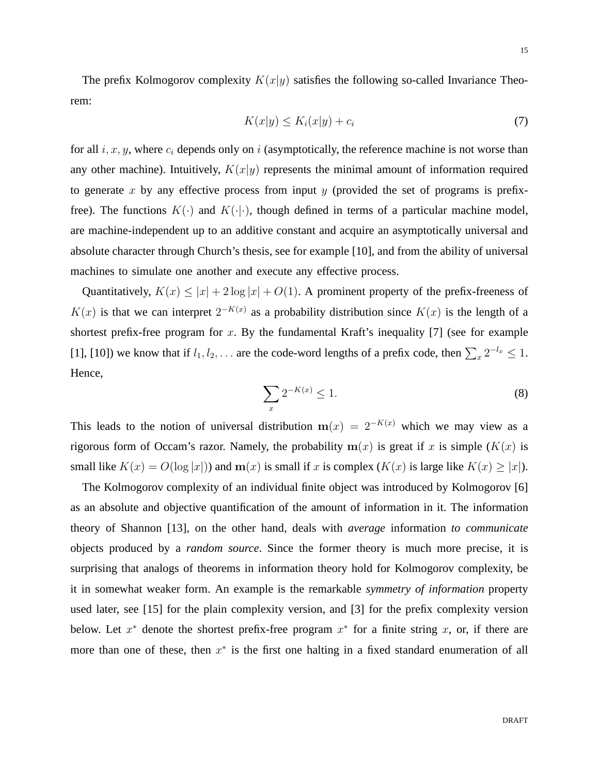The prefix Kolmogorov complexity  $K(x|y)$  satisfies the following so-called Invariance Theorem:

$$
K(x|y) \le K_i(x|y) + c_i \tag{7}
$$

for all  $i, x, y$ , where  $c_i$  depends only on i (asymptotically, the reference machine is not worse than any other machine). Intuitively,  $K(x|y)$  represents the minimal amount of information required to generate x by any effective process from input  $\gamma$  (provided the set of programs is prefixfree). The functions  $K(\cdot)$  and  $K(\cdot|\cdot)$ , though defined in terms of a particular machine model, are machine-independent up to an additive constant and acquire an asymptotically universal and absolute character through Church's thesis, see for example [10], and from the ability of universal machines to simulate one another and execute any effective process.

Quantitatively,  $K(x) \leq |x| + 2 \log |x| + O(1)$ . A prominent property of the prefix-freeness of  $K(x)$  is that we can interpret  $2^{-K(x)}$  as a probability distribution since  $K(x)$  is the length of a shortest prefix-free program for  $x$ . By the fundamental Kraft's inequality [7] (see for example [1], [10]) we know that if  $l_1, l_2, \ldots$  are the code-word lengths of a prefix code, then  $\sum_{x} 2^{-l_x} \leq 1$ . Hence,

$$
\sum_{x} 2^{-K(x)} \le 1. \tag{8}
$$

This leads to the notion of universal distribution  $m(x) = 2^{-K(x)}$  which we may view as a rigorous form of Occam's razor. Namely, the probability  $m(x)$  is great if x is simple ( $K(x)$ ) is small like  $K(x) = O(\log |x|)$  and  $m(x)$  is small if x is complex  $(K(x))$  is large like  $K(x) \ge |x|$ .

The Kolmogorov complexity of an individual finite object was introduced by Kolmogorov [6] as an absolute and objective quantification of the amount of information in it. The information theory of Shannon [13], on the other hand, deals with *average* information *to communicate* objects produced by a *random source*. Since the former theory is much more precise, it is surprising that analogs of theorems in information theory hold for Kolmogorov complexity, be it in somewhat weaker form. An example is the remarkable *symmetry of information* property used later, see [15] for the plain complexity version, and [3] for the prefix complexity version below. Let  $x^*$  denote the shortest prefix-free program  $x^*$  for a finite string x, or, if there are more than one of these, then  $x^*$  is the first one halting in a fixed standard enumeration of all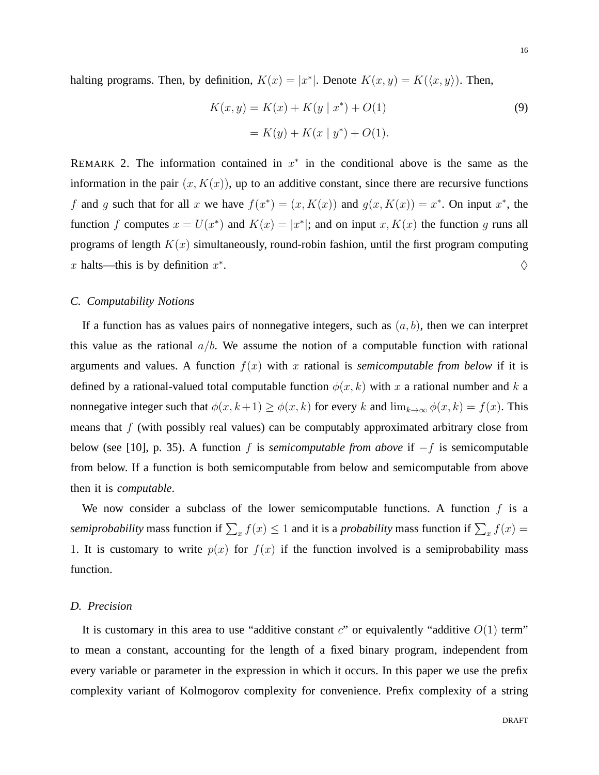halting programs. Then, by definition,  $K(x) = |x^*|$ . Denote  $K(x, y) = K(\langle x, y \rangle)$ . Then,

$$
K(x, y) = K(x) + K(y | x^*) + O(1)
$$
  
=  $K(y) + K(x | y^*) + O(1)$ . (9)

REMARK 2. The information contained in  $x^*$  in the conditional above is the same as the information in the pair  $(x, K(x))$ , up to an additive constant, since there are recursive functions f and g such that for all x we have  $f(x^*) = (x, K(x))$  and  $g(x, K(x)) = x^*$ . On input  $x^*$ , the function f computes  $x = U(x^*)$  and  $K(x) = |x^*|$ ; and on input x,  $K(x)$  the function g runs all programs of length  $K(x)$  simultaneously, round-robin fashion, until the first program computing x halts—this is by definition  $x^*$ . And the contract of the contract of  $\Diamond$ 

### *C. Computability Notions*

If a function has as values pairs of nonnegative integers, such as  $(a, b)$ , then we can interpret this value as the rational  $a/b$ . We assume the notion of a computable function with rational arguments and values. A function  $f(x)$  with x rational is *semicomputable from below* if it is defined by a rational-valued total computable function  $\phi(x, k)$  with x a rational number and k a nonnegative integer such that  $\phi(x, k+1) \ge \phi(x, k)$  for every k and  $\lim_{k \to \infty} \phi(x, k) = f(x)$ . This means that  $f$  (with possibly real values) can be computably approximated arbitrary close from below (see [10], p. 35). A function f is *semicomputable from above* if −f is semicomputable from below. If a function is both semicomputable from below and semicomputable from above then it is *computable*.

We now consider a subclass of the lower semicomputable functions. A function  $f$  is a *semiprobability* mass function if  $\sum_x f(x) \le 1$  and it is a *probability* mass function if  $\sum_x f(x) =$ 1. It is customary to write  $p(x)$  for  $f(x)$  if the function involved is a semiprobability mass function.

#### *D. Precision*

It is customary in this area to use "additive constant  $c$ " or equivalently "additive  $O(1)$  term" to mean a constant, accounting for the length of a fixed binary program, independent from every variable or parameter in the expression in which it occurs. In this paper we use the prefix complexity variant of Kolmogorov complexity for convenience. Prefix complexity of a string